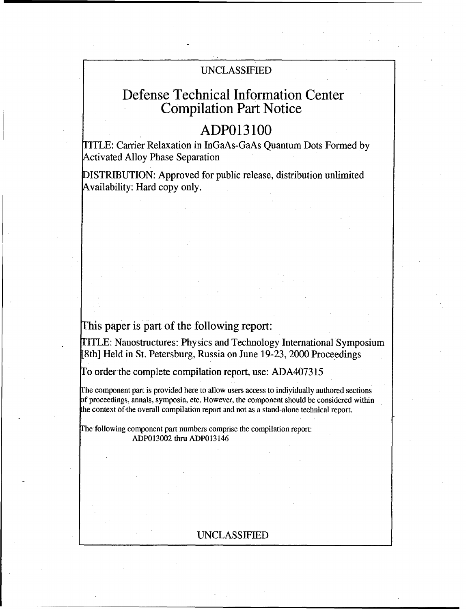### UNCLASSIFIED

# Defense Technical Information Center Compilation Part Notice

# **ADP013100**

FITLE: Carrier Relaxation in InGaAs-GaAs Quantum Dots Formed by Activated Alloy Phase Separation

DISTRIBUTION: Approved for public release, distribution unlimited Availability: Hard copy only.

## This paper is part of the following report:

rITLE: Nanostructures: Physics and Technology International Symposium [8th] Held in St. Petersburg, Russia on June 19-23, 2000 Proceedings

To order the complete compilation report, use: ADA407315

rhe component part is provided here to allow users access to indiyidually authored sections of proceedings, annals, symposia, etc. However, the component should be considered within the context of-the overall compilation report and not as a stand-alone technical report.

The following component part numbers comprise the compilation report: ADP013002 thru ADP013146

### UNCLASSIFIED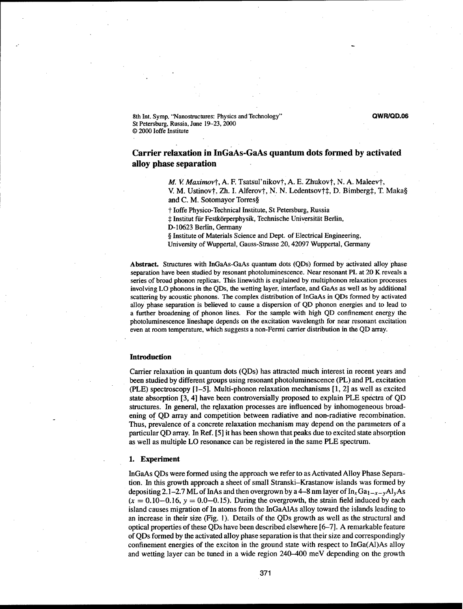8th Int. Symp, "Nanostructures: Physics and Technology" **QWR/QD.06** St Petersburg, Russia, June 19-23, 2000 © 2000 loffe Institute

### Carrier relaxation in InGaAs-GaAs quantum dots formed **by** activated alloy phase separation

*M. V. Maximov†, A. F. Tsatsul'nikov†, A. E. Zhukov†, N. A. Maleev†,* 

V. M. Ustinov†, Zh. I. Alferov†, N. N. Ledentsov†‡, D. Bimberg‡, T. Maka§ and C. M. Sotomayor Torres§

t loffe Physico-Technical Institute, St Petersburg, Russia

 $\ddagger$  Institut für Festkörperphysik, Technische Universität Berlin,

D-10623 Berlin, Germany

**§** Institute of Materials Science and Dept. of Electrical Engineering,

University of Wuppertal, Gauss-Strasse 20,42097 Wuppertal, Germany

Abstract. Structures with InGaAs-GaAs quantum dots (QDs) formed by activated alloy phase separation have been studied by resonant photoluminescence. Near resonant PL at 20 K reveals a series of broad phonon replicas. This linewidth is explained by multiphonon relaxation processes involving LO phonons in the QDs, the wetting layer, interface, and GaAs as well as by additional scattering by acoustic phonons. The complex distribution of InGaAs in QDs formed by activated alloy phase separation is believed to cause a dispersion of QD phonon energies and to lead to a further broadening of phonon lines. For the sample with high QD confinement energy the photoluminescence lineshape depends on the excitation wavelength for near resonant excitation even at room temperature, which suggests a non-Fermi carrier distribution in the QD array.

#### Introduction

Carrier relaxation in quantum dots (QDs) has attracted much interest in recent years and been studied by different groups using resonant photoluminescence (PL) and PL excitation (PLE) spectroscopy  $[1-5]$ . Multi-phonon relaxation mechanisms  $[1, 2]$  as well as excited state absorption [3, 4] have been controversially proposed to explain PLE spectra of QD structures. In general, the relaxation processes are influenced by inhomogeneous broadening of QD array and competition between radiative and non-radiative recombination. Thus, prevalence of a concrete relaxation mechanism may depend on the parameters of a particular QD array. In Ref. *[5]* it has been shown that peaks due to excited state absorption as well as multiple LO resonance can be registered in the same PLE spectrum.

#### 1. Experiment

InGaAs QDs were formed using the approach we refer to as Activated Alloy Phase Separation. In this growth approach a sheet of small Stranski-Krastanow islands was formed by depositing 2.1–2.7 ML of InAs and then overgrown by a 4–8 nm layer of  $In_xGa_{1-x-y}Al_yAs$  $(x = 0.10 - 0.16, y = 0.0 - 0.15)$ . During the overgrowth, the strain field induced by each island causes migration of In atoms from the InGaAlAs alloy toward the islands leading to an increase in their size (Fig. **1).** Details of the QDs growth as well as the structural and optical properties of these QDs have been described elsewhere [6-7]. A remarkable feature of QDs formed by the activated alloy phase separation is that their size and correspondingly confinement energies of the exciton in the ground state with respect to InGa(AI)As alloy and wetting layer can be tuned in a wide region 240-400 meV depending on the growth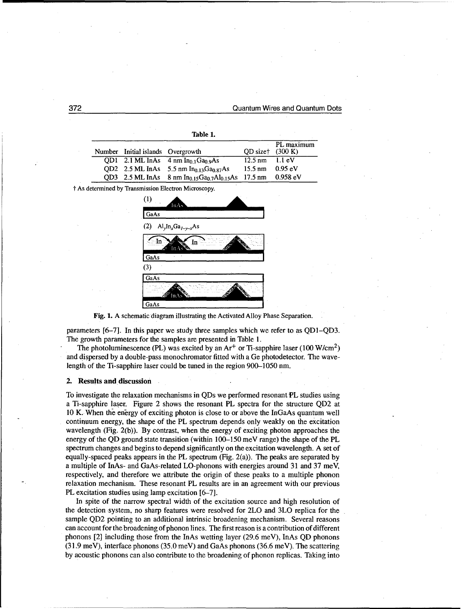#### 372 Quantum Wires and Quantum Dots

| Number | Initial islands Overgrowth |                                                                   | OD sizet          | PL maximum<br>(300 K) |
|--------|----------------------------|-------------------------------------------------------------------|-------------------|-----------------------|
| OD1    |                            | 2.1 ML InAs $4 \text{ nm}$ In <sub>0.1</sub> Ga <sub>0.9</sub> As | $12.5 \text{ nm}$ | $1.1 \text{ eV}$      |
| OD2    |                            | 2.5 ML InAs 5.5 nm $In_{0.13}Ga_{0.87}As$                         | $15.5 \text{ nm}$ | $0.95$ eV             |
| OD3    | 2.5 ML InAs                | 8 nm In <sub>0.15</sub> Ga <sub>0.7</sub> Al <sub>0.15</sub> As   | $17.5 \text{ nm}$ | 0.958 eV              |
|        |                            | † As determined by Transmission Electron Microscopy.              |                   |                       |
|        | $\left(1\right)$           | InA.                                                              |                   |                       |
|        | GaAs                       |                                                                   |                   |                       |
|        | (2)                        | $\text{Al}_y \text{In}_x \text{Ga}_{1-y-x} \text{As}$             |                   |                       |
|        | In                         | ın                                                                |                   |                       |

Table **1.**

GaAs Fig. 1. A schematic diagram illustrating the Activated Alloy Phase Separation.

GaAs (3) GaAs

parameters [6-7]. In this paper we study three samples which we refer to as QDI-QD3. The growth parameters for the samples are presented in Table 1.

The photoluminescence (PL) was excited by an  $Ar^+$  or Ti-sapphire laser (100 W/cm<sup>2</sup>) and dispersed by a double-pass monochromator fitted with a Ge photodetector. The wavelength of the Ti-sapphire laser could be tuned in the region 900-1050 nm.

#### 2. Results and discussion

To investigate the relaxation mechanisms in QDs we performed resonant PL studies using a Ti-sapphire laser. Figure 2 shows the resonant PL spectra for the structure QD2 at 10 K. When the energy of exciting photon is close to or above the InGaAs quantum well continuum energy, the shape of the PL spectrum depends only weakly on the excitation wavelength (Fig. 2(b)). By contrast, when the energy of exciting photon approaches the energy of the QD ground state transition (within **100-150** meV range) the shape of the PL spectrum changes and begins to depend significantly on the excitation wavelength. A set of equally-spaced peaks appears in the PL spectrum (Fig. 2(a)). The peaks are separated by a multiple of InAs- and GaAs-related LO-phonons with energies around 31 and 37 meV, respectively, and therefore we attribute the origin of these peaks to a multiple phonon relaxation mechanism. These resonant PL results are in an agreement with our previous PL excitation studies using lamp excitation [6-7].

In spite of the narrow spectral width of the excitation source and high resolution of the detection system, no sharp features were resolved for 2LO and **3LO** replica for the sample QD2 pointing to an additional intrinsic broadening mechanism. Several reasons can account for the broadening of phonon lines. The first reason is a contribution of different phonons [2] including those from the InAs wetting layer (29.6 meV), InAs QD phonons (31.9 meV), interface phonons (35.0 meV) and GaAs phonons (36.6 meV). The scattering by acoustic phonons can also contribute to the broadening of phonon replicas. Taking into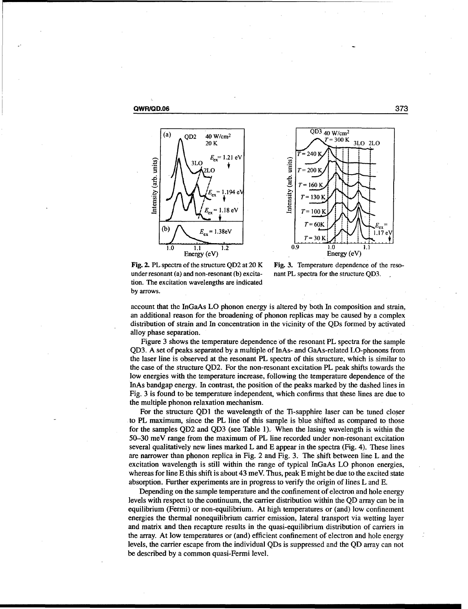





Fig. 2. PL spectra of the structure QD2 at 20 K Fig. 3. Temperature dependence of the resounder resonant (a) and non-resonant (b) excita- nant PL spectra for the structure QD3. tion. The excitation wavelengths are indicated by arrows.

account that the InGaAs LO phonon energy is altered by both In composition and strain, an additional reason for the broadening of phonon replicas may be caused by a complex distribution of strain and In concentration in the vicinity of the QDs formed by activated alloy phase separation.

Figure 3 shows the temperature dependence of the resonant PL spectra for the sample QD3. A set of peaks separated by a multiple of InAs- and GaAs-related LO-phonons from the laser line is observed at the resonant PL spectra of this structure, which is similar to the case of the structure QD2. For the non-resonant excitation PL peak shifts towards the low energies with the temperature increase, following the temperature dependence of the InAs bandgap energy. In contrast, the position of the peaks marked by the dashed lines in Fig. 3 is found to be temperature independent, which confirms that these lines are due to the multiple phonon relaxation mechanism.

For the structure **QDI** the wavelength of the Ti-sapphire laser can be tuned closer to PL maximum, since the PL line of this sample is blue shifted as compared to those for the samples QD2 and QD3 (see Table 1). When the lasing wavelength is within the 50-30 meV range from the maximum of PL line recorded under non-resonant excitation several qualitatively new lines marked L and E appear in the spectra (Fig. 4). These lines are narrower than phonon replica in Fig. 2 and Fig. 3. The shift between line L and the excitation wavelength is still within the range of typical InGaAs LO phonon energies, whereas for line E this shift is about 43 meV. Thus, peak E might be due to the excited state absorption. Further experiments are in progress to verify the origin of lines L and E.

Depending on the sample temperature and the confinement of electron and hole energy levels with respect to the continuum, the carrier distribution within the QD array can be in equilibrium (Fermi) or non-equilibrium. At high temperatures or (and) low confinement energies the thermal nonequilibrium carrier emission, lateral transport via wetting layer and matrix and then recapture results in the quasi-equilibrium distribution of carriers in the array. At low temperatures or (and) efficient confinement of electron and hole energy levels, the carrier escape from the individual QDs is suppressed and the QD array can not be described by a common quasi-Fermi level.